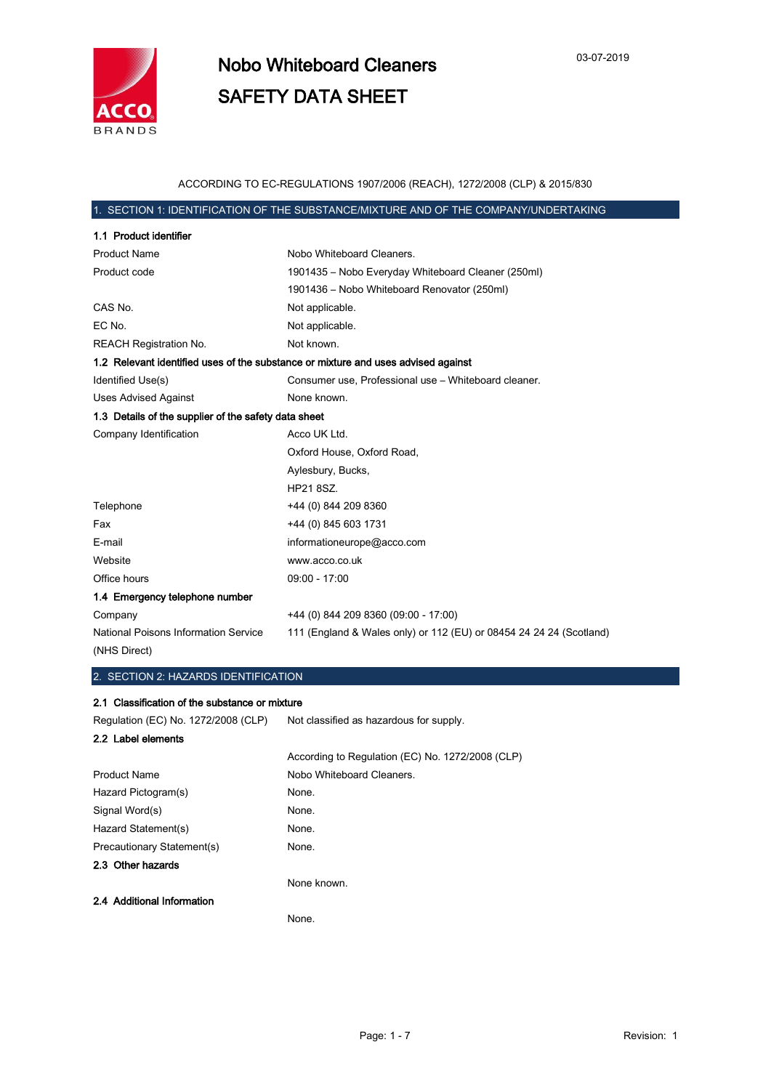

### ACCORDING TO EC-REGULATIONS 1907/2006 (REACH), 1272/2008 (CLP) & 2015/830

### 1. SECTION 1: IDENTIFICATION OF THE SUBSTANCE/MIXTURE AND OF THE COMPANY/UNDERTAKING

| 1.1 Product identifier                               |                                                                                   |
|------------------------------------------------------|-----------------------------------------------------------------------------------|
| <b>Product Name</b>                                  | Nobo Whiteboard Cleaners.                                                         |
| Product code                                         | 1901435 - Nobo Everyday Whiteboard Cleaner (250ml)                                |
|                                                      | 1901436 - Nobo Whiteboard Renovator (250ml)                                       |
| CAS No.                                              | Not applicable.                                                                   |
| EC No.                                               | Not applicable.                                                                   |
| <b>REACH Registration No.</b>                        | Not known.                                                                        |
|                                                      | 1.2 Relevant identified uses of the substance or mixture and uses advised against |
| Identified Use(s)                                    | Consumer use, Professional use - Whiteboard cleaner.                              |
| <b>Uses Advised Against</b>                          | None known.                                                                       |
| 1.3 Details of the supplier of the safety data sheet |                                                                                   |
| Company Identification                               | Acco UK Ltd.                                                                      |
|                                                      | Oxford House, Oxford Road,                                                        |
|                                                      | Aylesbury, Bucks,                                                                 |
|                                                      | HP21 8SZ.                                                                         |
| Telephone                                            | +44 (0) 844 209 8360                                                              |
| Fax                                                  | +44 (0) 845 603 1731                                                              |
| E-mail                                               | informationeurope@acco.com                                                        |
| Website                                              | www.acco.co.uk                                                                    |
| Office hours                                         | 09:00 - 17:00                                                                     |
| 1.4 Emergency telephone number                       |                                                                                   |
| Company                                              | +44 (0) 844 209 8360 (09:00 - 17:00)                                              |
| <b>National Poisons Information Service</b>          | 111 (England & Wales only) or 112 (EU) or 08454 24 24 24 (Scotland)               |
| (NHS Direct)                                         |                                                                                   |

### 2. SECTION 2: HAZARDS IDENTIFICATION

### 2.1 Classification of the substance or mixture

Regulation (EC) No. 1272/2008 (CLP) Not classified as hazardous for supply.

| 2.2 Label elements         |                                                  |
|----------------------------|--------------------------------------------------|
|                            | According to Regulation (EC) No. 1272/2008 (CLP) |
| <b>Product Name</b>        | Nobo Whiteboard Cleaners.                        |
| Hazard Pictogram(s)        | None.                                            |
| Signal Word(s)             | None.                                            |
| Hazard Statement(s)        | None.                                            |
| Precautionary Statement(s) | None.                                            |
| 2.3 Other hazards          |                                                  |
|                            | None known.                                      |
| 2.4 Additional Information |                                                  |
|                            | None.                                            |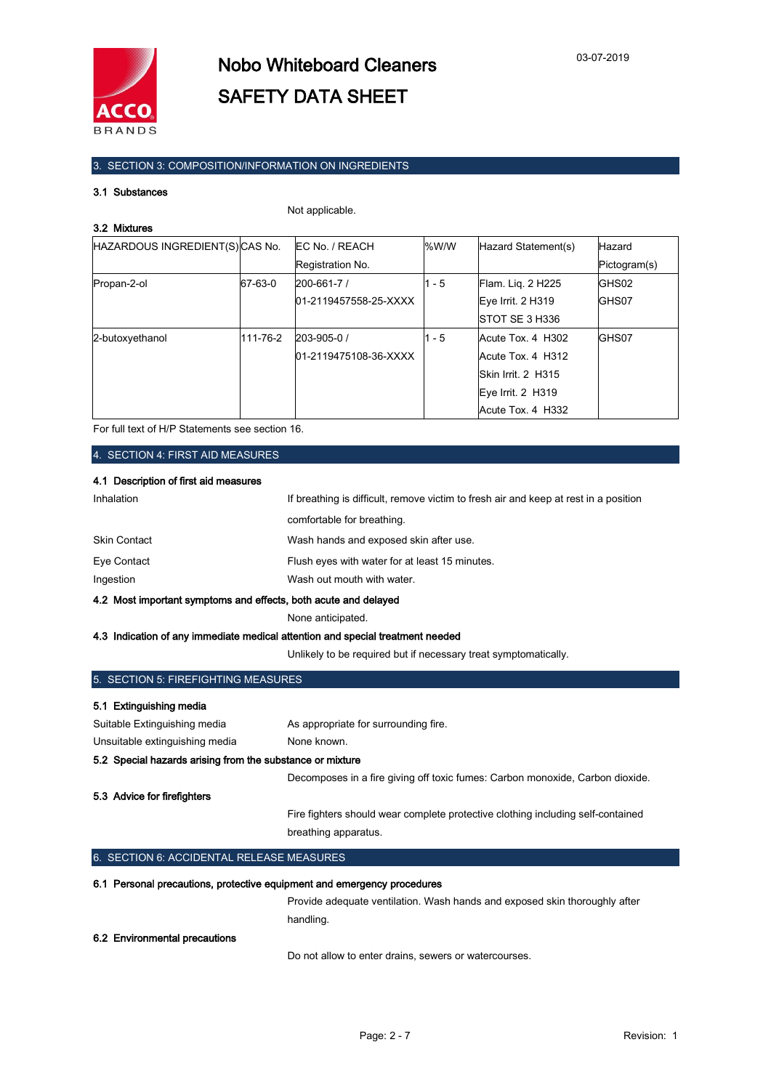

## 3. SECTION 3: COMPOSITION/INFORMATION ON INGREDIENTS

### 3.1 Substances

Not applicable.

| HAZARDOUS INGREDIENT(S) CAS No. |          | <b>IEC No. / REACH</b> | %W/W    | Hazard Statement(s)   | <b>Hazard</b> |
|---------------------------------|----------|------------------------|---------|-----------------------|---------------|
|                                 |          | Registration No.       |         |                       | Pictogram(s)  |
| Propan-2-ol                     | 67-63-0  | $200 - 661 - 7/$       | $1 - 5$ | Flam. Lig. 2 H225     | GHS02         |
|                                 |          | 01-2119457558-25-XXXX  |         | Eye Irrit. 2 H319     | GHS07         |
|                                 |          |                        |         | <b>STOT SE 3 H336</b> |               |
| 2-butoxyethanol                 | 111-76-2 | $203 - 905 - 0$ /      | $1 - 5$ | Acute Tox. 4 H302     | GHS07         |
|                                 |          | 01-2119475108-36-XXXX  |         | Acute Tox. 4 H312     |               |
|                                 |          |                        |         | Skin Irrit, 2 H315    |               |
|                                 |          |                        |         | Eye Irrit. 2 H319     |               |
|                                 |          |                        |         | Acute Tox. 4 H332     |               |

For full text of H/P Statements see section 16.

4. SECTION 4: FIRST AID MEASURES

### 4.1 Description of first aid measures

| 4.2 Most important symptoms and effects, both acute and delayed |                                                                                      |  |
|-----------------------------------------------------------------|--------------------------------------------------------------------------------------|--|
| Ingestion                                                       | Wash out mouth with water.                                                           |  |
| Eye Contact                                                     | Flush eyes with water for at least 15 minutes.                                       |  |
| <b>Skin Contact</b>                                             | Wash hands and exposed skin after use.                                               |  |
|                                                                 | comfortable for breathing.                                                           |  |
| Inhalation                                                      | If breathing is difficult, remove victim to fresh air and keep at rest in a position |  |

None anticipated.

#### 4.3 Indication of any immediate medical attention and special treatment needed

Unlikely to be required but if necessary treat symptomatically.

| 5. SECTION 5: FIREFIGHTING MEASURES                                        |                                                                                 |  |  |
|----------------------------------------------------------------------------|---------------------------------------------------------------------------------|--|--|
| <b>Extinguishing media</b><br>5.1                                          |                                                                                 |  |  |
| Suitable Extinguishing media                                               | As appropriate for surrounding fire.                                            |  |  |
| Unsuitable extinguishing media                                             | None known.                                                                     |  |  |
| 5.2 Special hazards arising from the substance or mixture                  |                                                                                 |  |  |
|                                                                            | Decomposes in a fire giving off toxic fumes: Carbon monoxide, Carbon dioxide.   |  |  |
| 5.3 Advice for firefighters                                                |                                                                                 |  |  |
|                                                                            | Fire fighters should wear complete protective clothing including self-contained |  |  |
|                                                                            | breathing apparatus.                                                            |  |  |
| 6. SECTION 6: ACCIDENTAL RELEASE MEASURES                                  |                                                                                 |  |  |
| Personal precautions, protective equipment and emergency procedures<br>6.1 |                                                                                 |  |  |
|                                                                            | Provide adequate ventilation. Wash hands and exposed skin thoroughly after      |  |  |
|                                                                            | handling.                                                                       |  |  |

### 6.2 Environmental precautions

Do not allow to enter drains, sewers or watercourses.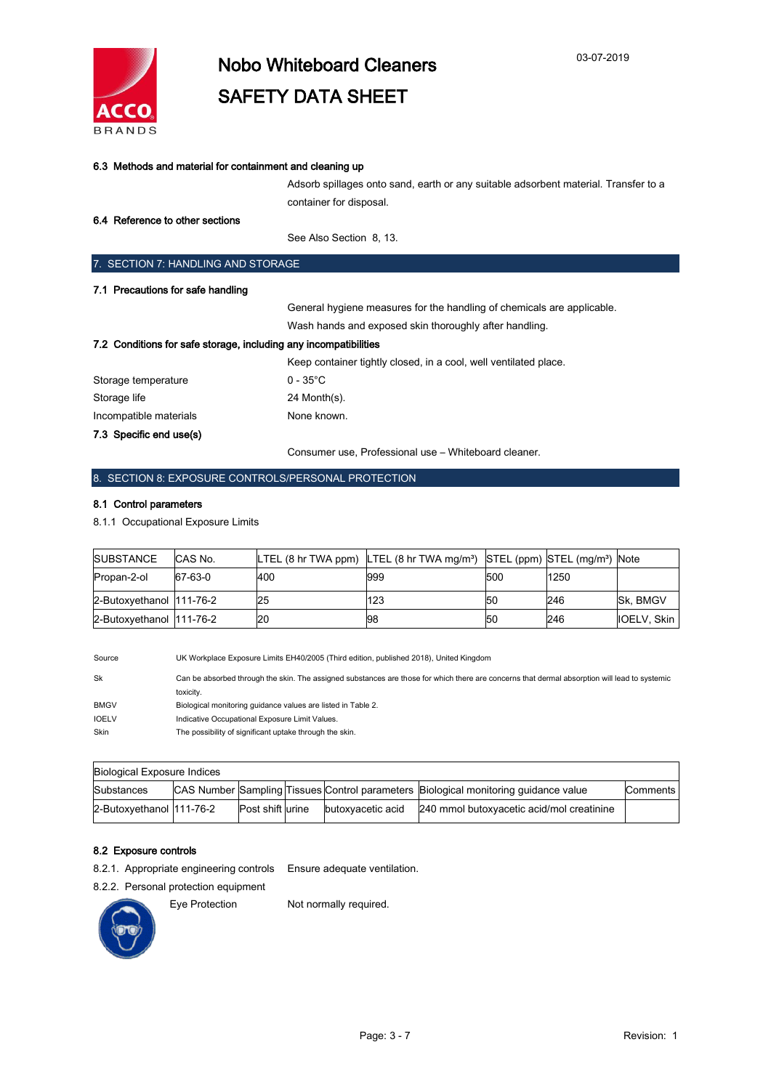

| 6.3 Methods and material for containment and cleaning up         |                                                                                     |
|------------------------------------------------------------------|-------------------------------------------------------------------------------------|
|                                                                  | Adsorb spillages onto sand, earth or any suitable adsorbent material. Transfer to a |
|                                                                  | container for disposal.                                                             |
| 6.4 Reference to other sections                                  |                                                                                     |
|                                                                  | See Also Section 8, 13.                                                             |
| 7. SECTION 7: HANDLING AND STORAGE                               |                                                                                     |
| 7.1 Precautions for safe handling                                |                                                                                     |
|                                                                  | General hygiene measures for the handling of chemicals are applicable.              |
|                                                                  | Wash hands and exposed skin thoroughly after handling.                              |
| 7.2 Conditions for safe storage, including any incompatibilities |                                                                                     |
|                                                                  | Keep container tightly closed, in a cool, well ventilated place.                    |
| Storage temperature                                              | $0 - 35^{\circ}$ C                                                                  |
| Storage life                                                     | 24 Month(s).                                                                        |
| Incompatible materials                                           | None known.                                                                         |

8. SECTION 8: EXPOSURE CONTROLS/PERSONAL PROTECTION

### 8.1 Control parameters

7.3 Specific end use(s)

8.1.1 Occupational Exposure Limits

| <b>SUBSTANCE</b>         | CAS No. |     | $LTEL$ (8 hr TWA ppm) LTEL (8 hr TWA mg/m <sup>3</sup> ) STEL (ppm) STEL (mg/m <sup>3</sup> ) Note |                 |      |                    |
|--------------------------|---------|-----|----------------------------------------------------------------------------------------------------|-----------------|------|--------------------|
| Propan-2-ol              | 67-63-0 | 400 | 999                                                                                                | 500             | 1250 |                    |
| 2-Butoxyethanol 111-76-2 |         | 25  | 123                                                                                                | I <sub>50</sub> | 246  | <b>Sk. BMGV</b>    |
| 2-Butoxyethanol 111-76-2 |         | 20  | 198                                                                                                | 150             | 246  | <b>IOELV. Skin</b> |

Consumer use, Professional use – Whiteboard cleaner.

Source UK Workplace Exposure Limits EH40/2005 (Third edition, published 2018), United Kingdom Sk Can be absorbed through the skin. The assigned substances are those for which there are concerns that dermal absorption will lead to systemic toxicity. BMGV Biological monitoring guidance values are listed in Table 2. IOELV Indicative Occupational Exposure Limit Values. Skin The possibility of significant uptake through the skin.

| Biological Exposure Indices |  |                   |  |                   |                                                                                     |            |
|-----------------------------|--|-------------------|--|-------------------|-------------------------------------------------------------------------------------|------------|
| Substances                  |  |                   |  |                   | CAS Number Sampling Tissues Control parameters Biological monitoring quidance value | Comments I |
| 2-Butoxyethanol 111-76-2    |  | Post shift lurine |  | butoxyacetic acid | 240 mmol butoxyacetic acid/mol creatinine                                           |            |

### 8.2 Exposure controls

8.2.1. Appropriate engineering controls Ensure adequate ventilation.

8.2.2. Personal protection equipment



Eye Protection Not normally required.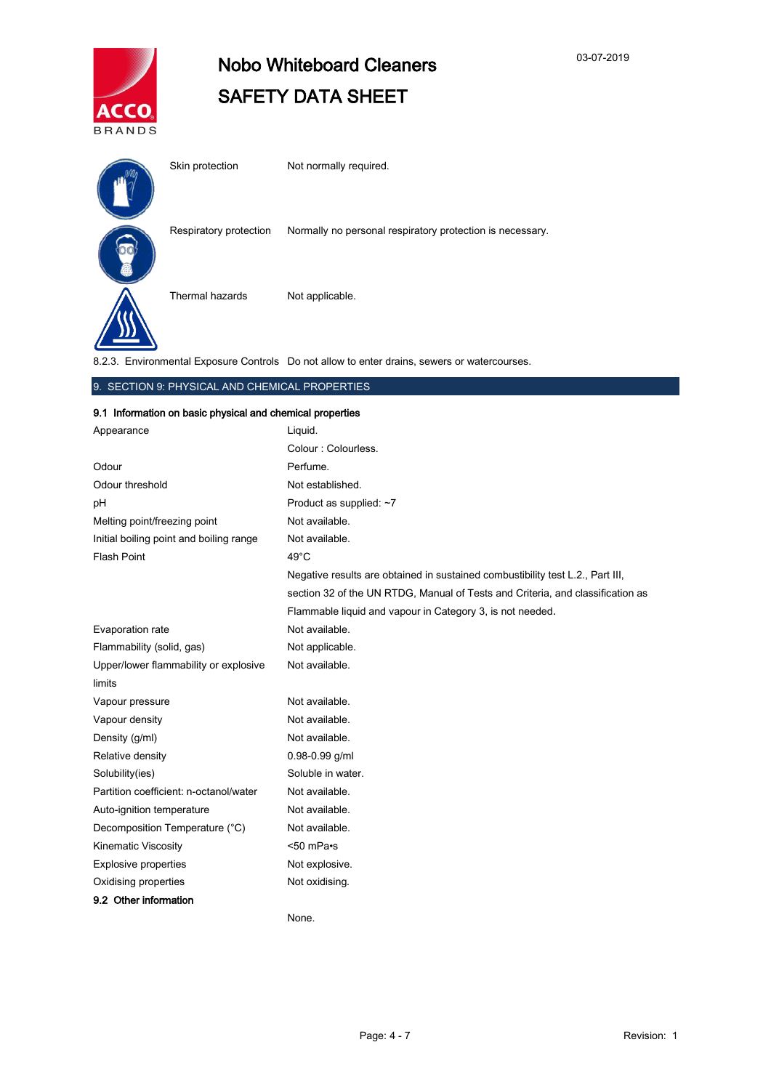

# Nobo Whiteboard Cleaners SAFETY DATA SHEET

| Skin protection        | Not normally required.                                    |
|------------------------|-----------------------------------------------------------|
| Respiratory protection | Normally no personal respiratory protection is necessary. |
| Thermal hazards        | Not applicable.                                           |
|                        |                                                           |

8.2.3. Environmental Exposure Controls Do not allow to enter drains, sewers or watercourses.

### 9. SECTION 9: PHYSICAL AND CHEMICAL PROPERTIES

### 9.1 Information on basic physical and chemical properties

| Appearance                              | Liquid.                                                                        |
|-----------------------------------------|--------------------------------------------------------------------------------|
|                                         | Colour: Colourless.                                                            |
| Odour                                   | Perfume.                                                                       |
| Odour threshold                         | Not established.                                                               |
| pH                                      | Product as supplied: ~7                                                        |
| Melting point/freezing point            | Not available.                                                                 |
| Initial boiling point and boiling range | Not available.                                                                 |
| <b>Flash Point</b>                      | $49^{\circ}$ C                                                                 |
|                                         | Negative results are obtained in sustained combustibility test L.2., Part III, |
|                                         | section 32 of the UN RTDG, Manual of Tests and Criteria, and classification as |
|                                         | Flammable liquid and vapour in Category 3, is not needed.                      |
| Evaporation rate                        | Not available.                                                                 |
| Flammability (solid, gas)               | Not applicable.                                                                |
| Upper/lower flammability or explosive   | Not available.                                                                 |
| limits                                  |                                                                                |
| Vapour pressure                         | Not available.                                                                 |
| Vapour density                          | Not available.                                                                 |
| Density (g/ml)                          | Not available.                                                                 |
| Relative density                        | $0.98 - 0.99$ g/ml                                                             |
| Solubility(ies)                         | Soluble in water.                                                              |
| Partition coefficient: n-octanol/water  | Not available.                                                                 |
| Auto-ignition temperature               | Not available.                                                                 |
| Decomposition Temperature (°C)          | Not available.                                                                 |
| <b>Kinematic Viscosity</b>              | <50 mPa•s                                                                      |
| <b>Explosive properties</b>             | Not explosive.                                                                 |
| Oxidising properties                    | Not oxidising.                                                                 |
| 9.2 Other information                   |                                                                                |
|                                         | None.                                                                          |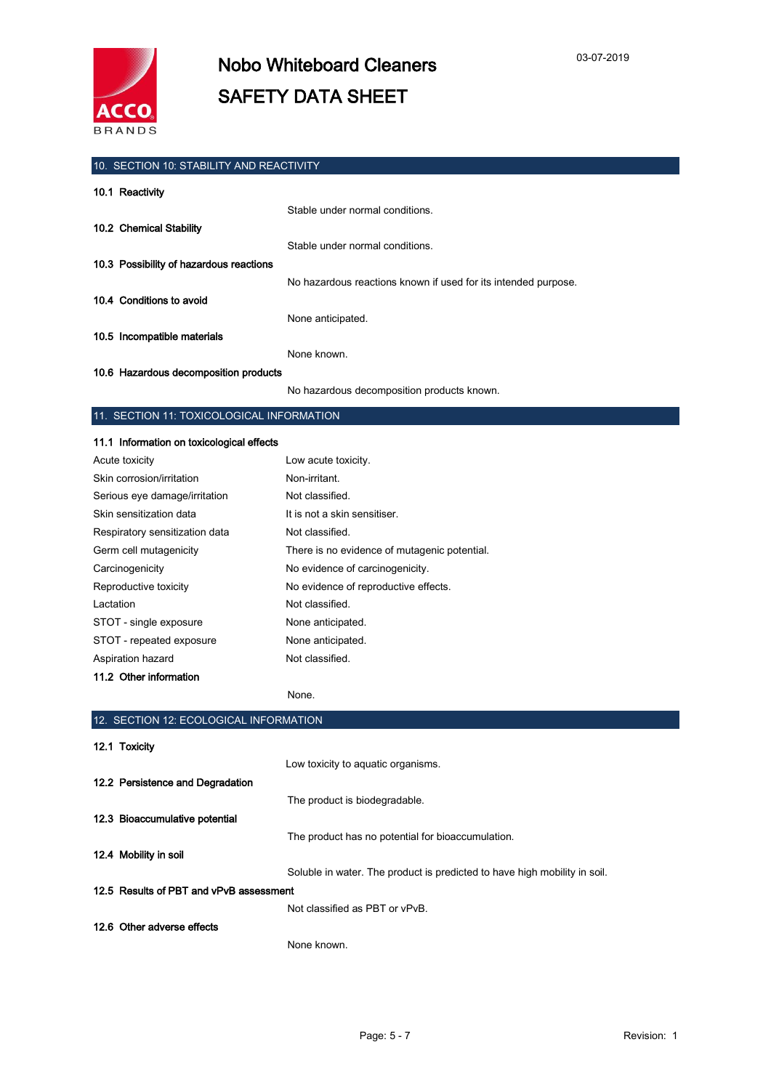

## 10. SECTION 10: STABILITY AND REACTIVITY 10.1 Reactivity Stable under normal conditions. 10.2 Chemical Stability Stable under normal conditions. 10.3 Possibility of hazardous reactions No hazardous reactions known if used for its intended purpose. 10.4 Conditions to avoid None anticipated. 10.5 Incompatible materials None known.

### 10.6 Hazardous decomposition products

No hazardous decomposition products known.

### 11. SECTION 11: TOXICOLOGICAL INFORMATION

| 11.1 Information on toxicological effects |                                              |
|-------------------------------------------|----------------------------------------------|
| Acute toxicity                            | Low acute toxicity.                          |
| Skin corrosion/irritation                 | Non-irritant.                                |
| Serious eye damage/irritation             | Not classified.                              |
| Skin sensitization data                   | It is not a skin sensitiser.                 |
| Respiratory sensitization data            | Not classified.                              |
| Germ cell mutagenicity                    | There is no evidence of mutagenic potential. |
| Carcinogenicity                           | No evidence of carcinogenicity.              |
| Reproductive toxicity                     | No evidence of reproductive effects.         |
| Lactation                                 | Not classified.                              |
| STOT - single exposure                    | None anticipated.                            |
| STOT - repeated exposure                  | None anticipated.                            |
| Aspiration hazard                         | Not classified.                              |
| 11.2 Other information                    |                                              |

#### None.

| 12. SECTION 12: ECOLOGICAL INFORMATION                                    |  |  |
|---------------------------------------------------------------------------|--|--|
|                                                                           |  |  |
| Low toxicity to aquatic organisms.                                        |  |  |
|                                                                           |  |  |
| The product is biodegradable.                                             |  |  |
|                                                                           |  |  |
| The product has no potential for bioaccumulation.                         |  |  |
|                                                                           |  |  |
| Soluble in water. The product is predicted to have high mobility in soil. |  |  |
| 12.5 Results of PBT and vPvB assessment                                   |  |  |
| Not classified as PBT or vPvB.                                            |  |  |
|                                                                           |  |  |
| None known.                                                               |  |  |
|                                                                           |  |  |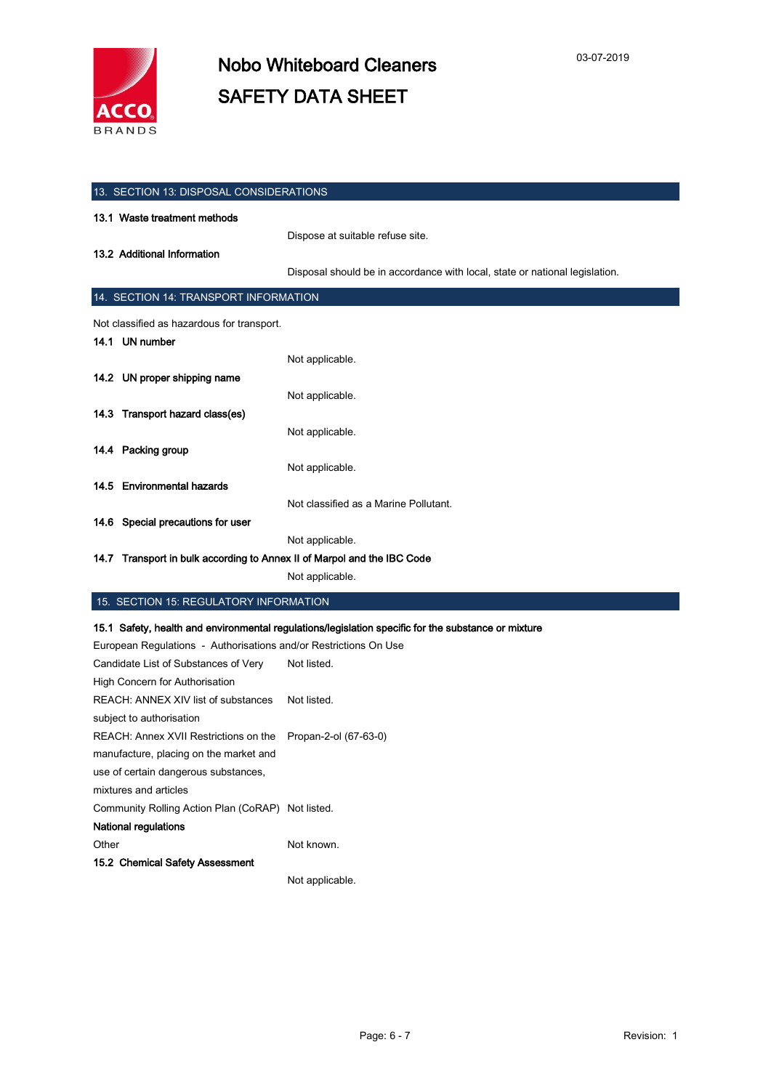

| 13. SECTION 13: DISPOSAL CONSIDERATIONS    |                                                                             |  |  |
|--------------------------------------------|-----------------------------------------------------------------------------|--|--|
| 13.1 Waste treatment methods               |                                                                             |  |  |
|                                            | Dispose at suitable refuse site.                                            |  |  |
| 13.2 Additional Information                |                                                                             |  |  |
|                                            | Disposal should be in accordance with local, state or national legislation. |  |  |
| 14. SECTION 14: TRANSPORT INFORMATION      |                                                                             |  |  |
| Not classified as hazardous for transport. |                                                                             |  |  |
| 14.1 UN number                             |                                                                             |  |  |
|                                            | Not applicable.                                                             |  |  |
| 14.2 UN proper shipping name               |                                                                             |  |  |
|                                            | Not applicable.                                                             |  |  |
| 14.3 Transport hazard class(es)            |                                                                             |  |  |
|                                            | Not applicable.                                                             |  |  |
| 14.4 Packing group                         |                                                                             |  |  |
|                                            | Not applicable.                                                             |  |  |
| 14.5 Environmental hazards                 |                                                                             |  |  |
|                                            | Not classified as a Marine Pollutant.                                       |  |  |
| 14.6 Special precautions for user          |                                                                             |  |  |
|                                            | Not applicable.                                                             |  |  |
|                                            | 14.7 Transport in bulk according to Annex II of Marpol and the IBC Code     |  |  |

Not applicable.

### 15. SECTION 15: REGULATORY INFORMATION

### 15.1 Safety, health and environmental regulations/legislation specific for the substance or mixture

| European Regulations - Authorisations and/or Restrictions On Use |                       |
|------------------------------------------------------------------|-----------------------|
| Candidate List of Substances of Very                             | Not listed.           |
| High Concern for Authorisation                                   |                       |
| REACH: ANNEX XIV list of substances                              | Not listed.           |
| subject to authorisation                                         |                       |
| REACH: Annex XVII Restrictions on the                            | Propan-2-ol (67-63-0) |
| manufacture, placing on the market and                           |                       |
| use of certain dangerous substances,                             |                       |
| mixtures and articles                                            |                       |
| Community Rolling Action Plan (CoRAP) Not listed.                |                       |
| National regulations                                             |                       |
| Other                                                            | Not known.            |
| 15.2 Chemical Safety Assessment                                  |                       |
|                                                                  | Not applicable.       |